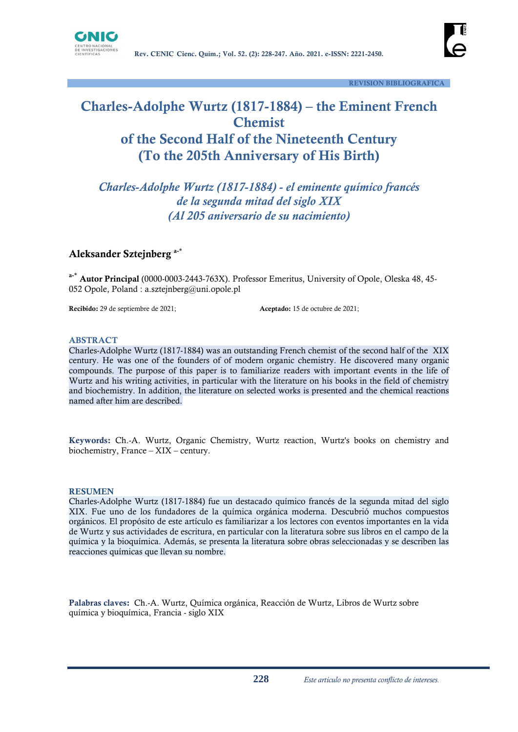



# **Charles-Adolphe Wurtz (1817-1884) – the Eminent French Chemist of the Second Half of the Nineteenth Century (To the 205th Anniversary of His Birth)**

*Charles-Adolphe Wurtz (1817-1884) - el eminente químico francés de la segunda mitad del siglo XIX (Al 205 aniversario de su nacimiento)*

#### **Aleksander Sztejnberg a-\***

**a-\* Autor Principal** (0000-0003-2443-763X). Professor Emeritus, University of Opole, Oleska 48, 45- 052 Opole, Poland : [a.sztejnberg@uni.opole.pl](mailto:a.sztejnberg@uni.opole.pl)

**Recibido:** 29 de septiembre de 2021;<br> **Aceptado:** 15 de octubre de 2021;

#### **ABSTRACT**

Charles-Adolphe Wurtz (1817-1884) was an outstanding French chemist of the second half of the XIX century. He was one of the founders of of modern organic chemistry. He discovered many organic compounds. The purpose of this paper is to familiarize readers with important events in the life of Wurtz and his writing activities, in particular with the literature on his books in the field of chemistry and biochemistry. In addition, the literature on selected works is presented and the chemical reactions named after him are described.

**Keywords:** Ch.-A. Wurtz, Organic Chemistry, Wurtz reaction, Wurtz's books on chemistry and biochemistry, France – XIX – century.

#### **RESUMEN**

Charles-Adolphe Wurtz (1817-1884) fue un destacado químico francés de la segunda mitad del siglo XIX. Fue uno de los fundadores de la química orgánica moderna. Descubrió muchos compuestos orgánicos. El propósito de este artículo es familiarizar a los lectores con eventos importantes en la vida de Wurtz y sus actividades de escritura, en particular con la literatura sobre sus libros en el campo de la química y la bioquímica. Además, se presenta la literatura sobre obras seleccionadas y se describen las reacciones químicas que llevan su nombre.

**Palabras claves:** Ch.-A. Wurtz, Química orgánica, Reacción de Wurtz, Libros de Wurtz sobre química y bioquímica, Francia - siglo XIX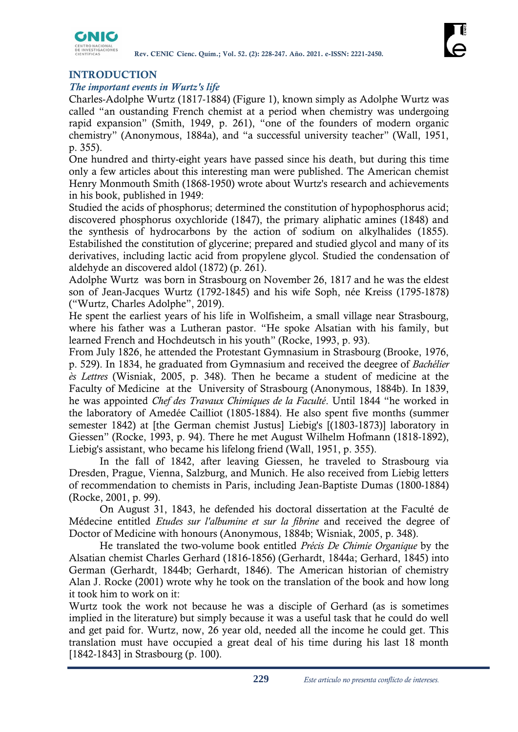

# **INTRODUCTION**

### *The important events in Wurtz's life*

Charles-Adolphe Wurtz (1817-1884) (Figure 1), known simply as Adolphe Wurtz was called "an oustanding French chemist at a period when chemistry was undergoing rapid expansion" (Smith, 1949, p. 261), "one of the founders of modern organic chemistry" (Anonymous, 1884a), and "a successful university teacher" (Wall, 1951, p. 355).

One hundred and thirty-eight years have passed since his death, but during this time only a few articles about this interesting man were published. The American chemist Henry Monmouth Smith (1868-1950) wrote about Wurtz's research and achievements in his book, published in 1949:

Studied the acids of phosphorus; determined the constitution of hypophosphorus acid; discovered phosphorus oxychloride (1847), the primary aliphatic amines (1848) and the synthesis of hydrocarbons by the action of sodium on alkylhalides (1855). Estabilished the constitution of glycerine; prepared and studied glycol and many of its derivatives, including lactic acid from propylene glycol. Studied the condensation of aldehyde an discovered aldol (1872) (p. 261).

Adolphe Wurtz was born in Strasbourg on November 26, 1817 and he was the eldest son of Jean-Jacques Wurtz (1792-1845) and his wife Soph, née Kreiss (1795-1878) ("Wurtz, Charles Adolphe", 2019).

He spent the earliest years of his life in Wolfisheim, a small village near Strasbourg, where his father was a Lutheran pastor. "He spoke Alsatian with his family, but learned French and Hochdeutsch in his youth" (Rocke, 1993, p. 93).

From July 1826, he attended the Protestant Gymnasium in Strasbourg (Brooke, 1976, p. 529). In 1834, he graduated from Gymnasium and received the deegree of *Bachélier ès Lettres* (Wisniak, 2005, p. 348). Then he became a student of medicine at the Faculty of Medicine at the University of Strasbourg (Anonymous, 1884b). In 1839, he was appointed *Chef des Travaux Chimiques de la Faculté*. Until 1844 "he worked in the laboratory of Amedée Cailliot (1805-1884). He also spent five months (summer semester 1842) at [the German chemist Justus] Liebig's [(1803-1873)] laboratory in Giessen" (Rocke, 1993, p. 94). There he met August Wilhelm Hofmann (1818-1892), Liebig's assistant, who became his lifelong friend (Wall, 1951, p. 355).

In the fall of 1842, after leaving Giessen, he traveled to Strasbourg via Dresden, Prague, Vienna, Salzburg, and Munich. He also received from Liebig letters of recommendation to chemists in Paris, including Jean-Baptiste Dumas (1800-1884) (Rocke, 2001, p. 99).

On August 31, 1843, he defended his doctoral dissertation at the Faculté de Médecine entitled *Etudes sur l'albumine et sur la fibrine* and received the degree of Doctor of Medicine with honours (Anonymous, 1884b; Wisniak, 2005, p. 348).

He translated the two-volume book entitled *Précis De Chimie Organique* by the Alsatian chemist Charles Gerhard (1816-1856) (Gerhardt, 1844a; Gerhard, 1845) into German (Gerhardt, 1844b; Gerhardt, 1846). The American historian of chemistry Alan J. Rocke (2001) wrote why he took on the translation of the book and how long it took him to work on it:

Wurtz took the work not because he was a disciple of Gerhard (as is sometimes implied in the literature) but simply because it was a useful task that he could do well and get paid for. Wurtz, now, 26 year old, needed all the income he could get. This translation must have occupied a great deal of his time during his last 18 month [1842-1843] in Strasbourg (p. 100).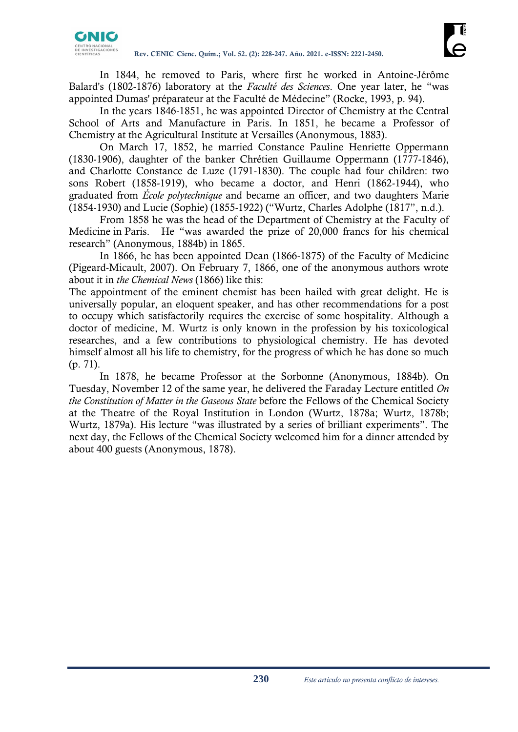In 1844, he removed to Paris, where first he worked in Antoine-Jérôme Balard's (1802-1876) laboratory at the *Faculté des Sciences*. One year later, he "was appointed Dumas' préparateur at the Faculté de Médecine" (Rocke, 1993, p. 94).

In the years 1846-1851, he was appointed Director of Chemistry at the Central School of Arts and Manufacture in Paris. In 1851, he became a Professor of Chemistry at the Agricultural Institute at Versailles (Anonymous, 1883).

On March 17, 1852, he married Constance Pauline Henriette Oppermann (1830-1906), daughter of the banker Chrétien Guillaume Oppermann (1777-1846), and Charlotte Constance de Luze (1791-1830). The couple had four children: two sons Robert (1858-1919), who became a doctor, and Henri (1862-1944), who graduated from *École polytechnique* and became an officer, and two daughters Marie (1854-1930) and Lucie (Sophie) (1855-1922) ("Wurtz, Charles Adolphe (1817", n.d.).

From 1858 he was the head of the Department of Chemistry at the Faculty of Medicine in Paris. He "was awarded the prize of 20,000 francs for his chemical research" (Anonymous, 1884b) in 1865.

In 1866, he has been appointed Dean (1866-1875) of the Faculty of Medicine (Pigeard-Micault, 2007). On February 7, 1866, one of the anonymous authors wrote about it in *the Chemical News* (1866) like this:

The appointment of the eminent chemist has been hailed with great delight. He is universally popular, an eloquent speaker, and has other recommendations for a post to occupy which satisfactorily requires the exercise of some hospitality. Although a doctor of medicine, M. Wurtz is only known in the profession by his toxicological researches, and a few contributions to physiological chemistry. He has devoted himself almost all his life to chemistry, for the progress of which he has done so much (p. 71).

In 1878, he became Professor at the Sorbonne (Anonymous, 1884b). On Tuesday, November 12 of the same year, he delivered the Faraday Lecture entitled *On the Constitution of Matter in the Gaseous State* before the Fellows of the Chemical Society at the Theatre of the Royal Institution in London (Wurtz, 1878a; Wurtz, 1878b; Wurtz, 1879a). His lecture "was illustrated by a series of brilliant experiments". The next day, the Fellows of the Chemical Society welcomed him for a dinner attended by about 400 guests (Anonymous, 1878).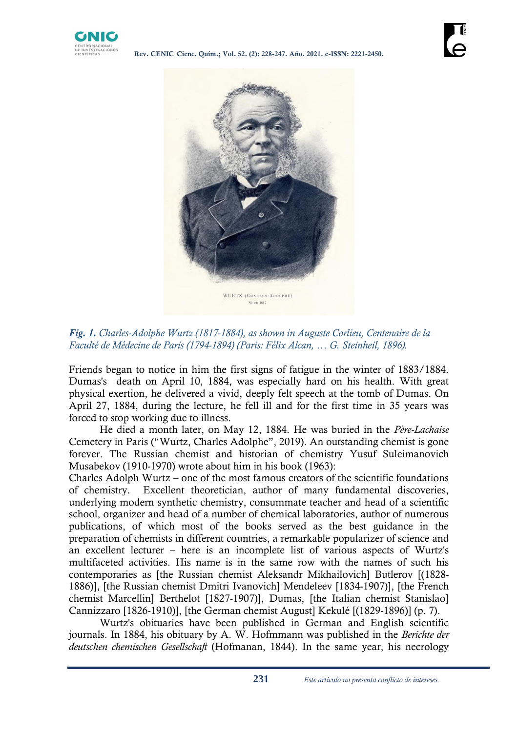



*Fig. 1. Charles-Adolphe Wurtz (1817-1884), as shown in Auguste Corlieu, Centenaire de la Faculté de Médecine de Paris (1794-1894) (Paris: Félix Alcan, … G. Steinheil, 1896).*

Friends began to notice in him the first signs of fatigue in the winter of 1883/1884. Dumas's death on April 10, 1884, was especially hard on his health. With great physical exertion, he delivered a vivid, deeply felt speech at the tomb of Dumas. On April 27, 1884, during the lecture, he fell ill and for the first time in 35 years was forced to stop working due to illness.

He died a month later, on May 12, 1884. He was buried in the *Père-Lachaise* Cemetery in Paris ("Wurtz, Charles Adolphe", 2019). An outstanding chemist is gone forever. The Russian chemist and historian of chemistry Yusuf Suleimanovich Musabekov (1910-1970) wrote about him in his book (1963):

Charles Adolph Wurtz – one of the most famous creators of the scientific foundations of chemistry. Excellent theoretician, author of many fundamental discoveries, underlying modern synthetic chemistry, consummate teacher and head of a scientific school, organizer and head of a number of chemical laboratories, author of numerous publications, of which most of the books served as the best guidance in the preparation of chemists in different countries, a remarkable popularizer of science and an excellent lecturer – here is an incomplete list of various aspects of Wurtz's multifaceted activities. His name is in the same row with the names of such his contemporaries as [the Russian chemist Aleksandr Mikhailovich] Butlerov [(1828- 1886)], [the Russian chemist Dmitri Ivanovich] Mendeleev [1834-1907)], [the French chemist Marcellin] Berthelot [1827-1907)], Dumas, [the Italian chemist Stanislao] Cannizzaro [1826-1910)], [the German chemist August] Kekulé [(1829-1896)] (p. 7).

Wurtz's obituaries have been published in German and English scientific journals. In 1884, his obituary by A. W. Hofmmann was published in the *Berichte der deutschen chemischen Gesellschaft* (Hofmanan, 1844). In the same year, his necrology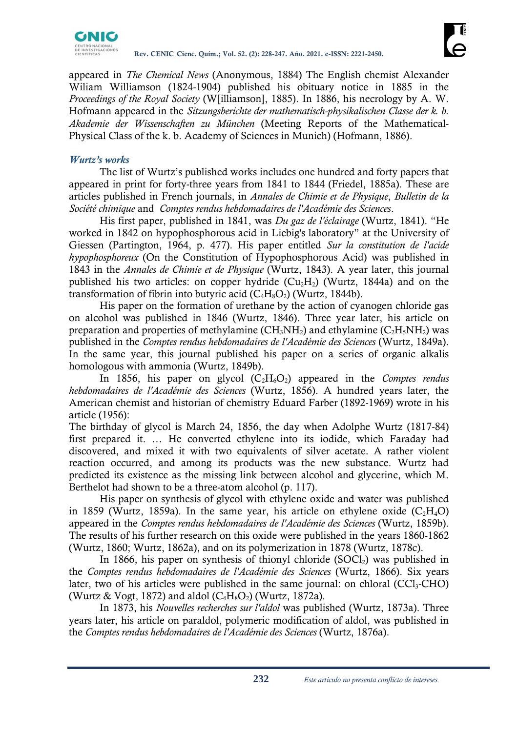

appeared in *The Chemical News* (Anonymous, 1884) The English chemist Alexander Wiliam Williamson (1824-1904) published his obituary notice in 1885 in the *Proceedings of the Royal Society* (W[illiamson], 1885). In 1886, his necrology by A. W. Hofmann appeared in the *Sitzungsberichte der mathematisch-physikalischen Classe der k. b. Akademie der Wissenschaften zu München* (Meeting Reports of the Mathematical-Physical Class of the k. b. Academy of Sciences in Munich) (Hofmann, 1886).

# *Wurtz's works*

The list of Wurtz's published works includes one hundred and forty papers that appeared in print for forty-three years from 1841 to 1844 (Friedel, 1885a). These are articles published in French journals, in *Annales de Chimie et de Physique*, *Bulletin de la Société chimique* and *Comptes rendus hebdomadaires de l'Académie des Sciences*.

His first paper, published in 1841, was *Du gaz de l'éclairage* (Wurtz, 1841). "He worked in 1842 on hypophosphorous acid in Liebig's laboratory" at the University of Giessen (Partington, 1964, p. 477). His paper entitled *Sur la constitution de l'acide hypophosphoreux* (On the Constitution of Hypophosphorous Acid) was published in 1843 in the *Annales de Chimie et de Physique* (Wurtz, 1843). A year later, this journal published his two articles: on copper hydride  $(Cu_2H_2)$  (Wurtz, 1844a) and on the transformation of fibrin into butyric acid  $(C_4H_8O_2)$  (Wurtz, 1844b).

His paper on the formation of urethane by the action of cyanogen chloride gas on alcohol was published in 1846 (Wurtz, 1846). Three year later, his article on preparation and properties of methylamine  $(CH_3NH_2)$  and ethylamine  $(C_2H_5NH_2)$  was published in the *Comptes rendus hebdomadaires de l'Académie des Sciences* (Wurtz, 1849a). In the same year, this journal published his paper on a series of organic alkalis homologous with ammonia (Wurtz, 1849b).

In 1856, his paper on glycol  $(C_2H_6O_2)$  appeared in the *Comptes rendus hebdomadaires de l'Académie des Sciences* (Wurtz, 1856). A hundred years later, the American chemist and historian of chemistry Eduard Farber (1892-1969) wrote in his article (1956):

The birthday of glycol is March 24, 1856, the day when Adolphe Wurtz (1817-84) first prepared it. … He converted ethylene into its iodide, which Faraday had discovered, and mixed it with two equivalents of silver acetate. A rather violent reaction occurred, and among its products was the new substance. Wurtz had predicted its existence as the missing link between alcohol and glycerine, which M. Berthelot had shown to be a three-atom alcohol (p. 117).

His paper on synthesis of glycol with ethylene oxide and water was published in 1859 (Wurtz, 1859a). In the same year, his article on ethylene oxide  $(C_2H_4O)$ appeared in the *Comptes rendus hebdomadaires de l'Académie des Sciences* (Wurtz, 1859b). The results of his further research on this oxide were published in the years 1860-1862 (Wurtz, 1860; Wurtz, 1862a), and on its polymerization in 1878 (Wurtz, 1878c).

In 1866, his paper on synthesis of thionyl chloride  $(SOCl<sub>2</sub>)$  was published in the *Comptes rendus hebdomadaires de l'Académie des Sciences* (Wurtz, 1866). Six years later, two of his articles were published in the same journal: on chloral  $(CCl<sub>3</sub>-CHO)$ (Wurtz & Vogt, 1872) and aldol  $(C_4H_8O_2)$  (Wurtz, 1872a).

In 1873, his *Nouvelles recherches sur l'aldol* was published (Wurtz, 1873a). Three years later, his article on paraldol, polymeric modification of aldol, was published in the *Comptes rendus hebdomadaires de l'Académie des Sciences* (Wurtz, 1876a).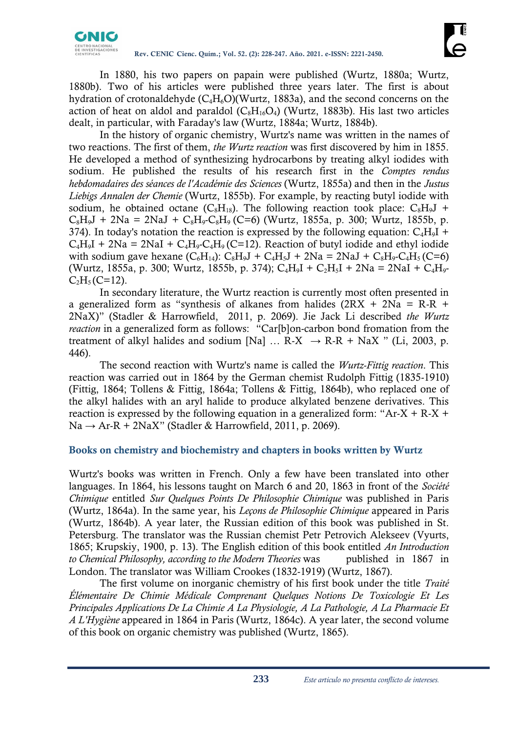

In 1880, his two papers on papain were published (Wurtz, 1880a; Wurtz, 1880b). Two of his articles were published three years later. The first is about hydration of crotonaldehyde  $(C_4H_6O)(Wurtz, 1883a)$ , and the second concerns on the action of heat on aldol and paraldol  $(C_8H_{16}O_4)$  (Wurtz, 1883b). His last two articles dealt, in particular, with Faraday's law (Wurtz, 1884a; Wurtz, 1884b).

In the history of organic chemistry, Wurtz's name was written in the names of two reactions. The first of them, *the Wurtz reaction* was first discovered by him in 1855. He developed a method of synthesizing hydrocarbons by treating alkyl iodides with sodium. He published the results of his research first in the *Comptes rendus hebdomadaires des séances de l'Académie des Sciences* (Wurtz, 1855a) and then in the *Justus Liebigs Annalen der Chemie* (Wurtz, 1855b). For example, by reacting butyl iodide with sodium, he obtained octane  $(C_8H_{18})$ . The following reaction took place:  $C_8H_{9}J$  +  $C_8H_9J + 2Na = 2NaJ + C_8H_9-C_8H_9$  (C=6) (Wurtz, 1855a, p. 300; Wurtz, 1855b, p. 374). In today's notation the reaction is expressed by the following equation:  $C_4H_9I$  +  $C_4H_9I + 2Na = 2NaI + C_4H_9-Cl_9(C=12)$ . Reaction of butyl iodide and ethyl iodide with sodium gave hexane  $(C_6H_{14})$ :  $C_8H_9J + C_4H_5J + 2Na = 2NaJ + C_8H_9 - C_4H_5$  (C=6) (Wurtz, 1855a, p. 300; Wurtz, 1855b, p. 374);  $C_4H_9I + C_2H_5I + 2Na = 2NaI + C_4H_9$  $C_2H_5$  (C=12).

In secondary literature, the Wurtz reaction is currently most often presented in a generalized form as "synthesis of alkanes from halides  $(2RX + 2Na = R-R +$ 2NaX)" (Stadler & Harrowfield, 2011, p. 2069). Jie Jack Li described *the Wurtz reaction* in a generalized form as follows: "Car[b]on-carbon bond fromation from the treatment of alkyl halides and sodium [Na] ...  $R-X \rightarrow R-R + NaX$  " (Li, 2003, p. 446).

The second reaction with Wurtz's name is called the *Wurtz-Fittig reaction*. This reaction was carried out in 1864 by the German chemist Rudolph Fittig (1835-1910) (Fittig, 1864; Tollens & Fittig, 1864a; Tollens & Fittig, 1864b), who replaced one of the alkyl halides with an aryl halide to produce alkylated benzene derivatives. This reaction is expressed by the following equation in a generalized form: "Ar-X + R-X +  $Na \rightarrow Ar-R + 2NaX''$  (Stadler & Harrowfield, 2011, p. 2069).

## **Books on chemistry and biochemistry and chapters in books written by Wurtz**

Wurtz's books was written in French. Only a few have been translated into other languages. In 1864, his lessons taught on March 6 and 20, 1863 in front of the *Société Chimique* entitled *Sur Quelques Points De Philosophie Chimique* was published in Paris (Wurtz, 1864a). In the same year, his *Leçons de Philosophie Chimique* appeared in Paris (Wurtz, 1864b). A year later, the Russian edition of this book was published in St. Petersburg. The translator was the Russian chemist Petr Petrovich Alekseev (Vyurts, 1865; Krupskiy, 1900, p. 13). The English edition of this book entitled *An Introduction to Chemical Philosophy, according to the Modern Theories* was published in 1867 in London. The translator was William Crookes (1832-1919) (Wurtz, 1867).

The first volume on inorganic chemistry of his first book under the title *Traité Élémentaire De Chimie Médicale Comprenant Quelques Notions De Toxicologie Et Les Principales Applications De La Chimie A La Physiologie, A La Pathologie, A La Pharmacie Et A L'Hygiène* appeared in 1864 in Paris (Wurtz, 1864c). A year later, the second volume of this book on organic chemistry was published (Wurtz, 1865).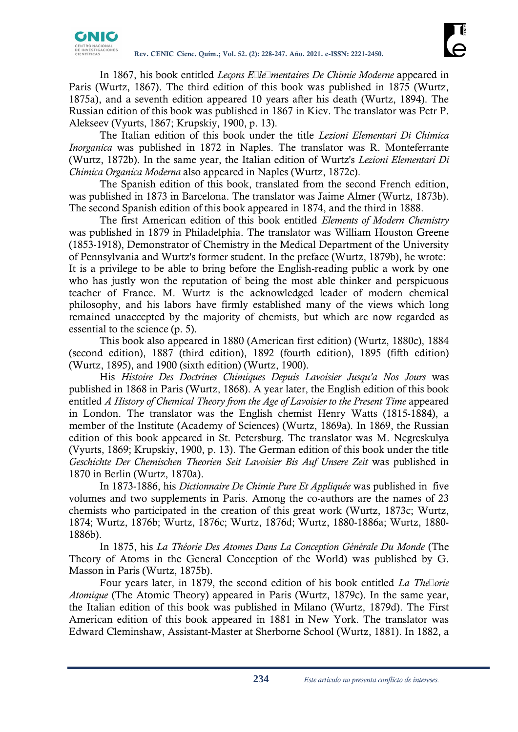In 1867, his book entitled *Leçons Élémentaires De Chimie Moderne* appeared in Paris (Wurtz, 1867). The third edition of this book was published in 1875 (Wurtz, 1875a), and a seventh edition appeared 10 years after his death (Wurtz, 1894). The Russian edition of this book was published in 1867 in Kiev. The translator was Petr P. Alekseev (Vyurts, 1867; Krupskiy, 1900, p. 13).

The Italian edition of this book under the title *Lezioni Elementari Di Chimica Inorganica* was published in 1872 in Naples. The translator was R. Monteferrante (Wurtz, 1872b). In the same year, the Italian edition of Wurtz's *Lezioni Elementari Di Chimica Organica Moderna* also appeared in Naples (Wurtz, 1872c).

The Spanish edition of this book, translated from the second French edition, was published in 1873 in Barcelona. The translator was Jaime Almer (Wurtz, 1873b). The second Spanish edition of this book appeared in 1874, and the third in 1888.

The first American edition of this book entitled *Elements of Modern Chemistry*  was published in 1879 in Philadelphia. The translator was William Houston Greene (1853-1918), Demonstrator of Chemistry in the Medical Department of the University of Pennsylvania and Wurtz's former student. In the preface (Wurtz, 1879b), he wrote: It is a privilege to be able to bring before the English-reading public a work by one who has justly won the reputation of being the most able thinker and perspicuous teacher of France. M. Wurtz is the acknowledged leader of modern chemical philosophy, and his labors have firmly established many of the views which long remained unaccepted by the majority of chemists, but which are now regarded as essential to the science (p. 5).

This book also appeared in 1880 (American first edition) (Wurtz, 1880c), 1884 (second edition), 1887 (third edition), 1892 (fourth edition), 1895 (fifth edition) (Wurtz, 1895), and 1900 (sixth edition) (Wurtz, 1900).

His *Histoire Des Doctrines Chimiques Depuis Lavoisier Jusqu'a Nos Jours* was published in 1868 in Paris (Wurtz, 1868). A year later, the English edition of this book entitled *A History of Chemical Theory from the Age of Lavoisier to the Present Time* appeared in London. The translator was the English chemist Henry Watts (1815-1884), a member of the Institute (Academy of Sciences) (Wurtz, 1869a). In 1869, the Russian edition of this book appeared in St. Petersburg. The translator was M. Negreskulya (Vyurts, 1869; Krupskiy, 1900, p. 13). The German edition of this book under the title *Geschichte Der Chemischen Theorien Seit Lavoisier Bis Auf Unsere Zeit* was published in 1870 in Berlin (Wurtz, 1870a).

In 1873-1886, his *Dictionnaire De Chimie Pure Et Appliquée* was published in five volumes and two supplements in Paris. Among the co-authors are the names of 23 chemists who participated in the creation of this great work (Wurtz, 1873c; Wurtz, 1874; Wurtz, 1876b; Wurtz, 1876c; Wurtz, 1876d; Wurtz, 1880-1886a; Wurtz, 1880- 1886b).

In 1875, his *La Théorie Des Atomes Dans La Conception Générale Du Monde* (The Theory of Atoms in the General Conception of the World) was published by G. Masson in Paris (Wurtz, 1875b).

Four years later, in 1879, the second edition of his book entitled *La Théorie Atomique* (The Atomic Theory) appeared in Paris (Wurtz, 1879c). In the same year, the Italian edition of this book was published in Milano (Wurtz, 1879d). The First American edition of this book appeared in 1881 in New York. The translator was Edward Cleminshaw, Assistant-Master at Sherborne School (Wurtz, 1881). In 1882, a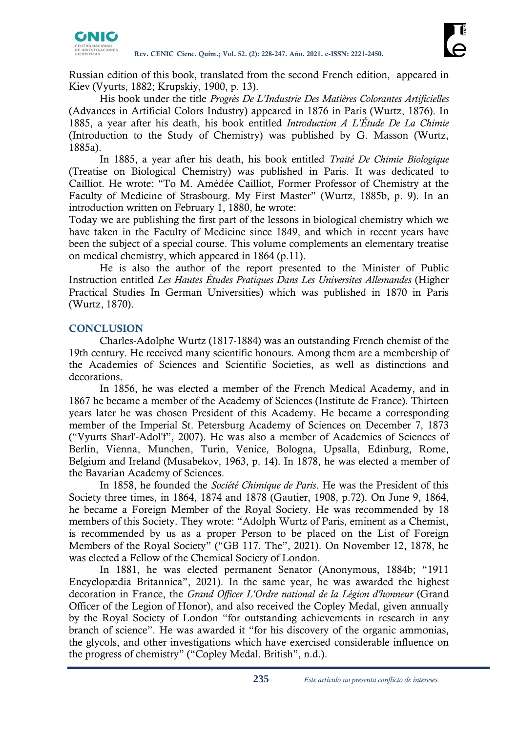

Russian edition of this book, translated from the second French edition, appeared in Kiev (Vyurts, 1882; Krupskiy, 1900, p. 13).

His book under the title *Progrès De L'Industrie Des Matières Colorantes Artificielles*  (Advances in Artificial Colors Industry) appeared in 1876 in Paris (Wurtz, 1876). In 1885, a year after his death, his book entitled *Introduction A L'Étude De La Chimie*  (Introduction to the Study of Chemistry) was published by G. Masson (Wurtz, 1885a).

In 1885, a year after his death, his book entitled *Traité De Chimie Biologique*  (Treatise on Biological Chemistry) was published in Paris. It was dedicated to Cailliot. He wrote: "To M. Amédée Cailliot, Former Professor of Chemistry at the Faculty of Medicine of Strasbourg. My First Master" (Wurtz, 1885b, p. 9). In an introduction written on February 1, 1880, he wrote:

Today we are publishing the first part of the lessons in biological chemistry which we have taken in the Faculty of Medicine since 1849, and which in recent years have been the subject of a special course. This volume complements an elementary treatise on medical chemistry, which appeared in 1864 (p.11).

He is also the author of the report presented to the Minister of Public Instruction entitled *Les Hautes Études Pratiques Dans Les Universites Allemandes* (Higher Practical Studies In German Universities) which was published in 1870 in Paris (Wurtz, 1870).

# **CONCLUSION**

Charles-Adolphe Wurtz (1817-1884) was an outstanding French chemist of the 19th century. He received many scientific honours. Among them are a membership of the Academies of Sciences and Scientific Societies, as well as distinctions and decorations.

In 1856, he was elected a member of the French Medical Academy, and in 1867 he became a member of the Academy of Sciences (Institute de France). Thirteen years later he was chosen President of this Academy. He became a corresponding member of the Imperial St. Petersburg Academy of Sciences on December 7, 1873 ("Vyurts Sharl'-Adol'f", 2007). He was also a member of Academies of Sciences of Berlin, Vienna, Munchen, Turin, Venice, Bologna, Upsalla, Edinburg, Rome, Belgium and Ireland (Musabekov, 1963, p. 14). In 1878, he was elected a member of the Bavarian Academy of Sciences.

In 1858, he founded the *Société Chimique de Paris*. He was the President of this Society three times, in 1864, 1874 and 1878 (Gautier, 1908, p.72). On June 9, 1864, he became a Foreign Member of the Royal Society. He was recommended by 18 members of this Society. They wrote: "Adolph Wurtz of Paris, eminent as a Chemist, is recommended by us as a proper Person to be placed on the List of Foreign Members of the Royal Society" ("GB 117. The", 2021). On November 12, 1878, he was elected a Fellow of the Chemical Society of London.

In 1881, he was elected permanent Senator (Anonymous, 1884b; "1911 Encyclopædia Britannica", 2021). In the same year, he was awarded the highest decoration in France, the *Grand Officer L'Ordre national de la Légion d'honneur* (Grand Officer of the Legion of Honor), and also received the Copley Medal, given annually by the Royal Society of London "for outstanding achievements in research in any branch of science". He was awarded it "for his discovery of the organic ammonias, the glycols, and other investigations which have exercised considerable influence on the progress of chemistry" ("Copley Medal. British", n.d.).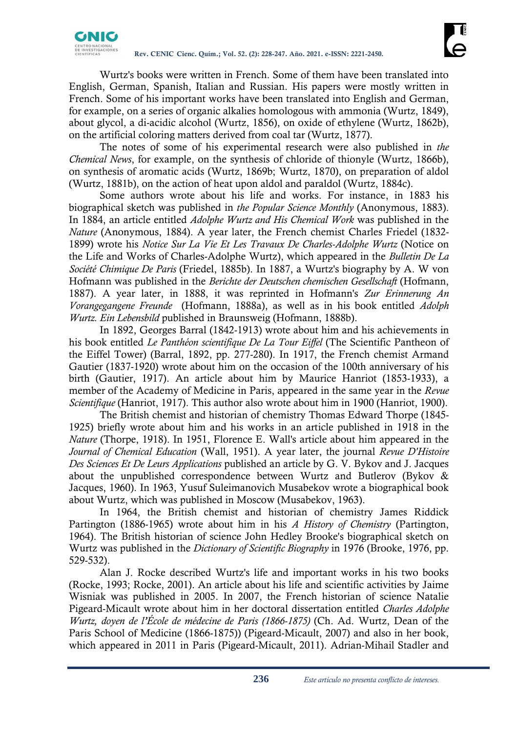Wurtz's books were written in French. Some of them have been translated into English, German, Spanish, Italian and Russian. His papers were mostly written in French. Some of his important works have been translated into English and German, for example, on a series of organic alkalies homologous with ammonia (Wurtz, 1849), about glycol, a di-acidic alcohol (Wurtz, 1856), on oxide of ethylene (Wurtz, 1862b), on the artificial coloring matters derived from coal tar (Wurtz, 1877).

The notes of some of his experimental research were also published in *the Chemical News*, for example, on the synthesis of chloride of thionyle (Wurtz, 1866b), on synthesis of aromatic acids (Wurtz, 1869b; Wurtz, 1870), on preparation of aldol (Wurtz, 1881b), on the action of heat upon aldol and paraldol (Wurtz, 1884c).

Some authors wrote about his life and works. For instance, in 1883 his biographical sketch was published in *the Popular Science Monthly* (Anonymous, 1883). In 1884, an article entitled *Adolphe Wurtz and His Chemical Work* was published in the *Nature* (Anonymous, 1884). A year later, the French chemist Charles Friedel (1832- 1899) wrote his *Notice Sur La Vie Et Les Travaux De Charles-Adolphe Wurtz* (Notice on the Life and Works of Charles-Adolphe Wurtz), which appeared in the *Bulletin De La Société Chimique De Paris* (Friedel, 1885b). In 1887, a Wurtz's biography by A. W von Hofmann was published in the *Berichte der Deutschen chemischen Gesellschaft* (Hofmann, 1887). A year later, in 1888, it was reprinted in Hofmann's *Zur Erinnerung An Vorangegangene Freunde* (Hofmann, 1888a), as well as in his book entitled *Adolph Wurtz. Ein Lebensbild* published in Braunsweig (Hofmann, 1888b).

In 1892, Georges Barral (1842-1913) wrote about him and his achievements in his book entitled *Le Panthéon scientifique De La Tour Eiffel* (The Scientific Pantheon of the Eiffel Tower) (Barral, 1892, pp. 277-280). In 1917, the French chemist Armand Gautier (1837-1920) wrote about him on the occasion of the 100th anniversary of his birth (Gautier, 1917). An article about him by Maurice Hanriot (1853-1933), a member of the Academy of Medicine in Paris, appeared in the same year in the *Revue Scientifique* (Hanriot, 1917). This author also wrote about him in 1900 (Hanriot, 1900).

The British chemist and historian of chemistry Thomas Edward Thorpe (1845- 1925) briefly wrote about him and his works in an article published in 1918 in the *Nature* (Thorpe, 1918). In 1951, Florence E. Wall's article about him appeared in the *Journal of Chemical Education* (Wall, 1951). A year later, the journal *Revue D'Histoire Des Sciences Et De Leurs Applications* published an article by G. V. Bykov and J. Jacques about the unpublished correspondence between Wurtz and Butlerov (Bykov & Jacques, 1960). In 1963, Yusuf Suleimanovich Musabekov wrote a biographical book about Wurtz, which was published in Moscow (Musabekov, 1963).

In 1964, the British chemist and historian of chemistry James Riddick Partington (1886-1965) wrote about him in his *A History of Chemistry* (Partington, 1964). The British historian of science John Hedley Brooke's biographical sketch on Wurtz was published in the *Dictionary of Scientific Biography* in 1976 (Brooke, 1976, pp. 529-532).

Alan J. Rocke described Wurtz's life and important works in his two books (Rocke, 1993; Rocke, 2001). An article about his life and scientific activities by Jaime Wisniak was published in 2005. In 2007, the French historian of science Natalie Pigeard-Micault wrote about him in her doctoral dissertation entitled *Charles Adolphe Wurtz, doyen de l'École de médecine de Paris (1866-1875)* (Ch. Ad. Wurtz, Dean of the Paris School of Medicine (1866-1875)) (Pigeard-Micault, 2007) and also in her book, which appeared in 2011 in Paris (Pigeard-Micault, 2011). Adrian-Mihail Stadler and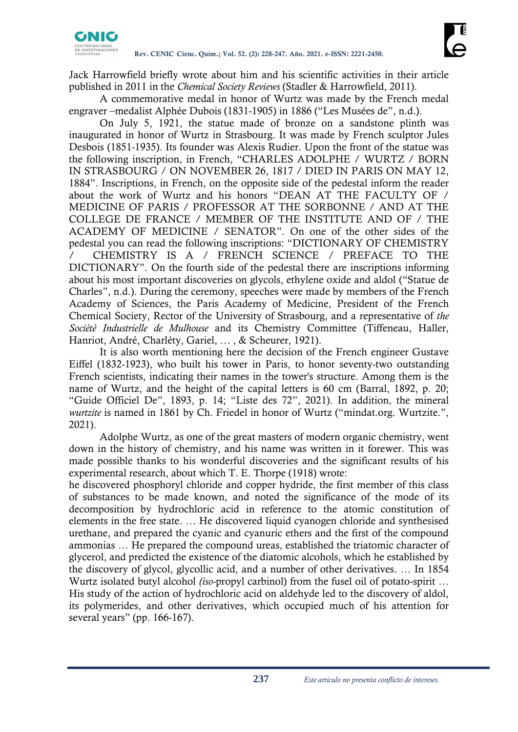

Jack Harrowfield briefly wrote about him and his scientific activities in their article published in 2011 in the *Chemical Society Reviews* (Stadler & Harrowfield, 2011).

A commemorative medal in honor of Wurtz was made by the French medal engraver –medalist Alphée Dubois (1831-1905) in 1886 ("Les Musées de", n.d.).

On July 5, 1921, the statue made of bronze on a sandstone plinth was inaugurated in honor of Wurtz in Strasbourg. It was made by French sculptor Jules Desbois (1851-1935). Its founder was Alexis Rudier. Upon the front of the statue was the following inscription, in French, "CHARLES ADOLPHE / WURTZ / BORN IN STRASBOURG / ON NOVEMBER 26, 1817 / DIED IN PARIS ON MAY 12, 1884". Inscriptions, in French, on the opposite side of the pedestal inform the reader about the work of Wurtz and his honors "DEAN AT THE FACULTY OF / MEDICINE OF PARIS / PROFESSOR AT THE SORBONNE / AND AT THE COLLEGE DE FRANCE / MEMBER OF THE INSTITUTE AND OF / THE ACADEMY OF MEDICINE / SENATOR". On one of the other sides of the pedestal you can read the following inscriptions: "DICTIONARY OF CHEMISTRY / CHEMISTRY IS A / FRENCH SCIENCE / PREFACE TO THE DICTIONARY". On the fourth side of the pedestal there are inscriptions informing about his most important discoveries on glycols, ethylene oxide and aldol ("Statue de Charles", n.d.). During the ceremony, speeches were made by members of the French Academy of Sciences, the Paris Academy of Medicine, President of the French Chemical Society, Rector of the University of Strasbourg, and a representative of *the Société Industrielle de Mulhouse* and its Chemistry Committee (Tiffeneau, Haller, Hanriot, André, Charléty, Gariel, … , & Scheurer, 1921).

It is also worth mentioning here the decision of the French engineer Gustave Eiffel (1832-1923), who built his tower in Paris, to honor seventy-two outstanding French scientists, indicating their names in the tower's structure. Among them is the name of Wurtz, and the height of the capital letters is 60 cm (Barral, 1892, p. 20; "Guide Officiel De", 1893, p. 14; "Liste des 72", 2021). In addition, the mineral *wurtzite* is named in 1861 by Ch. Friedel in honor of Wurtz ("mindat.org. Wurtzite.", 2021).

Adolphe Wurtz, as one of the great masters of modern organic chemistry, went down in the history of chemistry, and his name was written in it forewer. This was made possible thanks to his wonderful discoveries and the significant results of his experimental research, about which T. E. Thorpe (1918) wrote:

he discovered phosphoryl chloride and copper hydride, the first member of this class of substances to be made known, and noted the significance of the mode of its decomposition by hydrochloric acid in reference to the atomic constitution of elements in the free state. … He discovered liquid cyanogen chloride and synthesised urethane, and prepared the cyanic and cyanuric ethers and the first of the compound ammonias … He prepared the compound ureas, established the triatomic character of glycerol, and predicted the existence of the diatomic alcohols, which he established by the discovery of glycol, glycollic acid, and a number of other derivatives. … In 1854 Wurtz isolated butyl alcohol *(iso-*propyl carbinol) from the fusel oil of potato-spirit … His study of the action of hydrochloric acid on aldehyde led to the discovery of aldol, its polymerides, and other derivatives, which occupied much of his attention for several years" (pp. 166-167).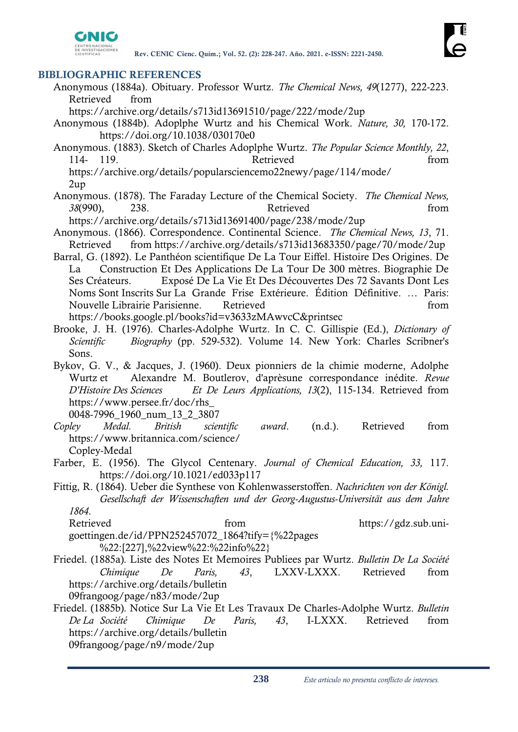

### **BIBLIOGRAPHIC REFERENCES**

- Anonymous (1884a). Obituary. Professor Wurtz. *The Chemical News, 49*(1277), 222-223. Retrieved from
	- https://archive.org/details/s713id13691510/page/222/mode/2up
- Anonymous (1884b). Adoplphe Wurtz and his Chemical Work. *Nature, 30,* 170-172. https://doi.org/10.1038/030170e0
- Anonymous. (1883). Sketch of Charles Adoplphe Wurtz. *The Popular Science Monthly, 22*, 114- 119. Retrieved from https://archive.org/details/popularsciencemo22newy/page/114/mode/

2up

Anonymous. (1878). The Faraday Lecture of the Chemical Society. *The Chemical News, 38*(990), 238. Retrieved from

https://archive.org/details/s713id13691400/page/238/mode/2up

- Anonymous. (1866). Correspondence. Continental Science. *The Chemical News, 13*, 71. Retrieved from https://archive.org/details/s713id13683350/page/70/mode/2up
- Barral, G. (1892). Le Panthéon scientifique De La Tour Eiffel. Histoire Des Origines. De La Construction Et Des Applications De La Tour De 300 mètres. Biographie De Ses Créateurs. Exposé De La Vie Et Des Découvertes Des 72 Savants Dont Les Noms Sont Inscrits Sur La Grande Frise Extérieure. Édition Définitive. … Paris: Nouvelle Librairie Parisienne. Retrieved from https://books.google.pl/books?id=v3633zMAwvcC&printsec
- Brooke, J. H. (1976). Charles-Adolphe Wurtz. In C. C. Gillispie (Ed.), *Dictionary of Scientific Biography* (pp. 529-532). Volume 14. New York: Charles Scribner's Sons.
- Bykov, G. V., & Jacques, J. (1960). Deux pionniers de la chimie moderne, Adolphe Wurtz et Alexandre M. Boutlerov, d'aprèsune correspondance inédite. *Revue D'Histoire Des Sciences Et De Leurs Applications, 13*(2), 115-134. Retrieved from https://www.persee.fr/doc/rhs\_

0048-7996\_1960\_num\_13\_2\_3807

- *Copley Medal. British scientific award*. (n.d.). Retrieved from https://www.britannica.com/science/ Copley-Medal
- Farber, E. (1956). The Glycol Centenary. *Journal of Chemical Education, 33,* 117. https://doi.org/10.1021/ed033p117
- Fittig, R. (1864). Ueber die Synthese von Kohlenwasserstoffen. *Nachrichten von der Königl. Gesellschaft der Wissenschaften und der Georg-Augustus-Universität aus dem Jahre 1864*.

Retrieved from https://gdz.sub.unigoettingen.de/id/PPN252457072\_1864?tify={%22pages %22:[227],%22view%22:%22info%22}

Friedel. (1885a)*.* Liste des Notes Et Memoires Publiees par Wurtz. *Bulletin De La Société Chimique De Paris, 43*, LXXV-LXXX. Retrieved from https://archive.org/details/bulletin 09frangoog/page/n83/mode/2up

Friedel. (1885b)*.* Notice Sur La Vie Et Les Travaux De Charles-Adolphe Wurtz. *Bulletin De La Société Chimique De Paris, 43*, I-LXXX. Retrieved from https://archive.org/details/bulletin

09frangoog/page/n9/mode/2up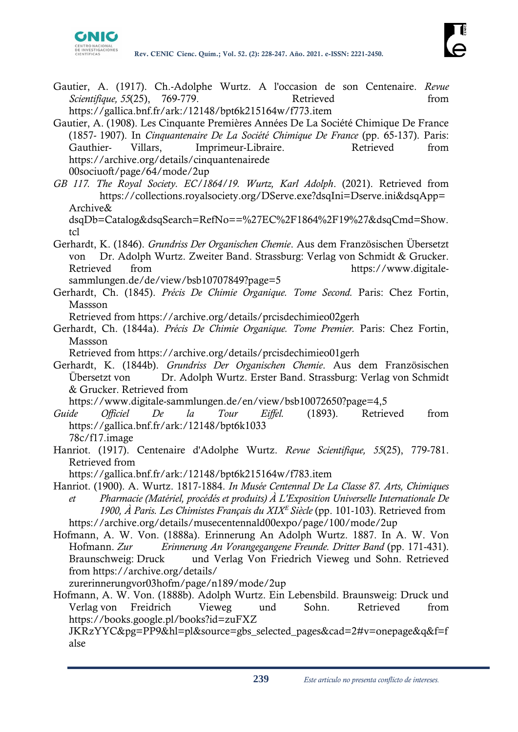

- Gautier, A. (1917). Ch.-Adolphe Wurtz. A l'occasion de son Centenaire. *Revue Scientifique, 55*(25), 769-779. Retrieved from https://gallica.bnf.fr/ark:/12148/bpt6k215164w/f773.item
- Gautier, A. (1908). Les Cinquante Premières Années De La Société Chimique De France (1857- 1907). In *Cinquantenaire De La Société Chimique De France* (pp. 65-137). Paris: Gauthier- Villars, Imprimeur-Libraire. Retrieved from https://archive.org/details/cinquantenairede 00sociuoft/page/64/mode/2up
- *GB 117. The Royal Society. EC/1864/19. Wurtz, Karl Adolph*. (2021). Retrieved from https://collections.royalsociety.org/DServe.exe?dsqIni=Dserve.ini&dsqApp= Archive&

dsqDb=Catalog&dsqSearch=RefNo==%27EC%2F1864%2F19%27&dsqCmd=Show. tcl

- Gerhardt, K. (1846). *Grundriss Der Organischen Chemie*. Aus dem Französischen Übersetzt von Dr. Adolph Wurtz. Zweiter Band. Strassburg: Verlag von Schmidt & Grucker. Retrieved from https://www.digitalesammlungen.de/de/view/bsb10707849?page=5
- Gerhardt, Ch. (1845). *Précis De Chimie Organique. Tome Second.* Paris: Chez Fortin,
- Massson

Retrieved from https://archive.org/details/prcisdechimieo02gerh

Gerhardt, Ch. (1844a). *Précis De Chimie Organique. Tome Premier.* Paris: Chez Fortin, Massson

Retrieved from https://archive.org/details/prcisdechimieo01gerh

Gerhardt, K. (1844b). *Grundriss Der Organischen Chemie*. Aus dem Französischen Übersetzt von Dr. Adolph Wurtz. Erster Band. Strassburg: Verlag von Schmidt & Grucker. Retrieved from

https://www.digitale-sammlungen.de/en/view/bsb10072650?page=4,5

- *Guide Officiel De la Tour Eiffel.* (1893). Retrieved from https://gallica.bnf.fr/ark:/12148/bpt6k1033 78c/f17.image
- Hanriot. (1917). Centenaire d'Adolphe Wurtz. *Revue Scientifique, 55*(25), 779-781. Retrieved from
- https://gallica.bnf.fr/ark:/12148/bpt6k215164w/f783.item
- Hanriot. (1900). A. Wurtz. 1817-1884. *In Musée Centennal De La Classe 87. Arts, Chimiques et Pharmacie (Matériel, procédés et produits) À L'Exposition Universelle Internationale De 1900, À Paris. Les Chimistes Français du XIX<sup>E</sup>Siècle* (pp. 101-103). Retrieved from https://archive.org/details/musecentennald00expo/page/100/mode/2up
- Hofmann, A. W. Von. (1888a). Erinnerung An Adolph Wurtz. 1887. In A. W. Von Hofmann. *Zur Erinnerung An Vorangegangene Freunde. Dritter Band* (pp. 171-431). Braunschweig: Druck und Verlag Von Friedrich Vieweg und Sohn. Retrieved from https://archive.org/details/

zurerinnerungvor03hofm/page/n189/mode/2up

Hofmann, A. W. Von. (1888b). Adolph Wurtz. Ein Lebensbild. Braunsweig: Druck und Verlag von Freidrich Vieweg und Sohn. Retrieved from https://books.google.pl/books?id=zuFXZ

JKRzYYC&pg=PP9&hl=pl&source=gbs\_selected\_pages&cad=2#v=onepage&q&f=f alse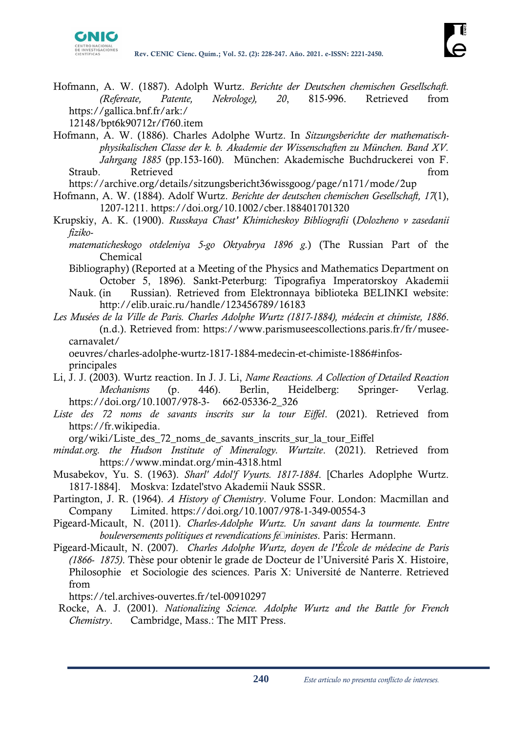

Hofmann, A. W. (1887). Adolph Wurtz. *Berichte der Deutschen chemischen Gesellschaft. (Refereate, Patente, Nekrologe), 20*, 815-996. Retrieved from https://gallica.bnf.fr/ark:/

12148/bpt6k90712r/f760.item

Hofmann, A. W. (1886). Charles Adolphe Wurtz. In *Sitzungsberichte der mathematischphysikalischen Classe der k. b. Akademie der Wissenschaften zu München. Band XV. Jahrgang 1885* (pp.153-160). München: Akademische Buchdruckerei von F. Straub. Retrieved from the straub.

https://archive.org/details/sitzungsbericht36wissgoog/page/n171/mode/2up

- Hofmann, A. W. (1884). Adolf Wurtz. *Berichte der deutschen chemischen Gesellschaft, 17*(1), 1207-1211. https://doi.org/10.1002/cber.188401701320
- Krupskiy, A. K. (1900). *Russkaya Chast' Khimicheskoy Bibliografii* (*Dolozheno v zasedanii fiziko*
	- *matematicheskogo otdeleniya 5-go Oktyabrya 1896 g.*) (The Russian Part of the Chemical
	- Bibliography) (Reported at a Meeting of the Physics and Mathematics Department on October 5, 1896). Sankt-Peterburg: Tipografiya Imperatorskoy Akademii
	- Nauk. (in Russian). Retrieved from Elektronnaya biblioteka BELINKI website: http://elib.uraic.ru/handle/123456789/16183
- *Les Musées de la Ville de Paris. Charles Adolphe Wurtz (1817-1884), médecin et chimiste, 1886*. (n.d.). Retrieved from: https://www.parismuseescollections.paris.fr/fr/museecarnavalet/

oeuvres/charles-adolphe-wurtz-1817-1884-medecin-et-chimiste-1886#infosprincipales

- Li, J. J. (2003). Wurtz reaction. In J. J. Li, *Name Reactions. A Collection of Detailed Reaction Mechanisms* (p. 446). Berlin, Heidelberg: Springer- Verlag. https://doi.org/10.1007/978-3- 662-05336-2\_326
- *Liste des 72 noms de savants inscrits sur la tour Eiffel*. (2021). Retrieved from https://fr.wikipedia.

org/wiki/Liste\_des\_72\_noms\_de\_savants\_inscrits\_sur\_la\_tour\_Eiffel

- *mindat.org. the Hudson Institute of Mineralogy. Wurtzite*. (2021). Retrieved from https://www.mindat.org/min-4318.html
- Musabekov, Yu. S. (1963). *Sharl' Adol'f Vyurts. 1817-1884*. [Charles Adoplphe Wurtz. 1817-1884]. Moskva: Izdatel'stvo Akademii Nauk SSSR.
- Partington, J. R. (1964). *A History of Chemistry*. Volume Four. London: Macmillan and Company Limited. https://doi.org/10.1007/978-1-349-00554-3
- Pigeard-Micault, N. (2011). *Charles-Adolphe Wurtz. Un savant dans la tourmente. Entre bouleversements politiques et revendications féministes*. Paris: Hermann.
- Pigeard-Micault, N. (2007). *Charles Adolphe Wurtz, doyen de l'École de médecine de Paris (1866- 1875)*. Thèse pour obtenir le grade de Docteur de l'Université Paris X. Histoire, Philosophie et Sociologie des sciences. Paris X: Université de Nanterre. Retrieved from

https://tel.archives-ouvertes.fr/tel-00910297

 Rocke, A. J. (2001). *Nationalizing Science. Adolphe Wurtz and the Battle for French Chemistry*. Cambridge, Mass.: The MIT Press.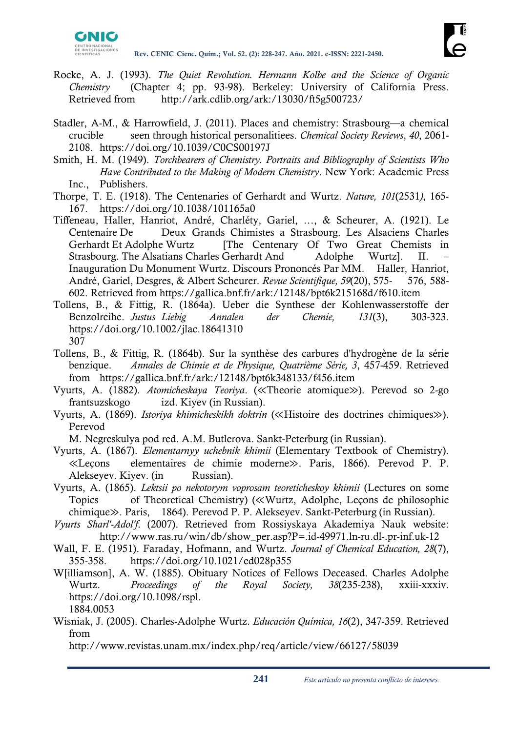

- Rocke, A. J. (1993). *The Quiet Revolution. Hermann Kolbe and the Science of Organic Chemistry* (Chapter 4; pp. 93-98). Berkeley: University of California Press. Retrieved from http://ark.cdlib.org/ark:/13030/ft5g500723/
- Stadler, A-M., & Harrowfield, J. (2011). Places and chemistry: Strasbourg—a chemical crucible seen through historical personalitiees. *Chemical Society Reviews*, *40*, 2061- 2108. https://doi.org/10.1039/C0CS00197J
- Smith, H. M. (1949). *Torchbearers of Chemistry. Portraits and Bibliography of Scientists Who Have Contributed to the Making of Modern Chemistry*. New York: Academic Press Inc., Publishers.
- Thorpe, T. E. (1918). The Centenaries of Gerhardt and Wurtz. *Nature, 101*(2531*)*, 165- 167. https://doi.org/10.1038/101165a0
- Tiffeneau, Haller, Hanriot, André, Charléty, Gariel, …, & Scheurer, A. (1921). Le Centenaire De Deux Grands Chimistes a Strasbourg. Les Alsaciens Charles Gerhardt Et Adolphe Wurtz [The Centenary Of Two Great Chemists in Strasbourg. The Alsatians Charles Gerhardt And Adolphe Wurtz]. II. – Inauguration Du Monument Wurtz. Discours Prononcés Par MM. Haller, Hanriot, André, Gariel, Desgres, & Albert Scheurer. *Revue Scientifique, 59*(20), 575- 576, 588- 602. Retrieved from https://gallica.bnf.fr/ark:/12148/bpt6k215168d/f610.item
- Tollens, B., & Fittig, R. (1864a). Ueber die Synthese der Kohlenwasserstoffe der Benzolreihe. *Justus Liebig Annalen der Chemie, 131*(3), 303-323. https://doi.org/10.1002/jlac.18641310 307
- Tollens, B., & Fittig, R. (1864b). Sur la synthèse des carbures d'hydrogène de la série benzique. *Annales de Chimie et de Physique, Quatrième Série, 3*, 457-459. Retrieved from https://gallica.bnf.fr/ark:/12148/bpt6k348133/f456.item
- Vyurts, A. (1882). *Atomicheskaya Teoriya*. (≪Theorie atomique≫). Perevod so 2-go frantsuzskogo izd. Kiyev (in Russian).
- Vyurts, A. (1869). *Istoriya khimicheskikh doktrin* (≪Histoire des doctrines chimiques≫). Perevod

M. Negreskulya pod red. A.M. Butlerova. Sankt-Peterburg (in Russian).

- Vyurts, A. (1867). *Elementarnyy uchebnik khimii* (Elementary Textbook of Chemistry). ≪Leçons elementaires de chimie moderne≫. Paris, 1866). Perevod P. P. Alekseyev. Kiyev. (in Russian).
- Vyurts, A. (1865). *Lektsii po nekotorym voprosam teoreticheskoy khimii* (Lectures on some Topics of Theoretical Chemistry) (≪Wurtz, Adolphe, Leçons de philosophie chimique≫. Paris, 1864). Perevod P. P. Alekseyev. Sankt-Peterburg (in Russian).
- *Vyurts Sharl'-Adol'f*. (2007). Retrieved from Rossiyskaya Akademiya Nauk website: http://www.ras.ru/win/db/show\_per.asp?P=.id-49971.ln-ru.dl-.pr-inf.uk-12
- Wall, F. E. (1951). Faraday, Hofmann, and Wurtz. *Journal of Chemical Education, 28*(7), 355-358. <https://doi.org/10.1021/ed028p355>
- W[illiamson], A. W. (1885). Obituary Notices of Fellows Deceased. Charles Adolphe Wurtz. *Proceedings of the Royal Society, 38*(235-238), xxiii-xxxiv. https://doi.org/10.1098/rspl. 1884.0053
- Wisniak, J. (2005). Charles-Adolphe Wurtz. *Educación Química, 16*(2), 347-359. Retrieved from

http://www.revistas.unam.mx/index.php/req/article/view/66127/58039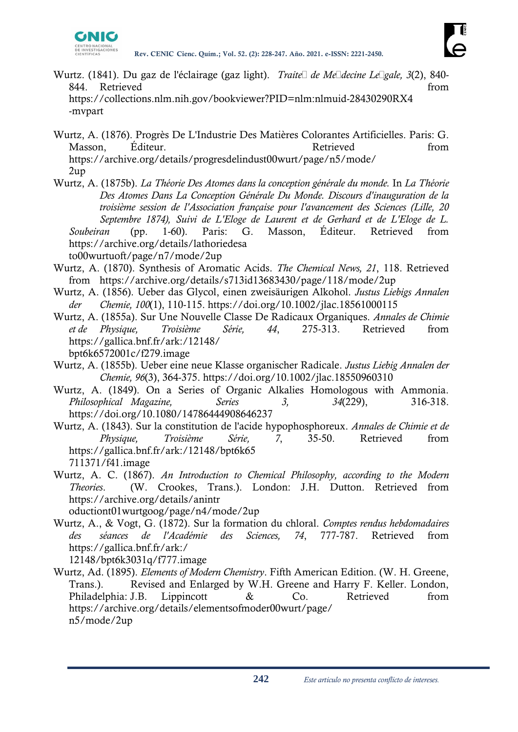

- Wurtz. (1841). Du gaz de l'éclairage (gaz light). *Traité de Médecine Légale, 3*(2), 840- 844. Retrieved from the set of the set of the set of the set of the set of the set of the set of the set of the set of the set of the set of the set of the set of the set of the set of the set of the set of the set of the https://collections.nlm.nih.gov/bookviewer?PID=nlm:nlmuid-28430290RX4 -mvpart
- Wurtz, A. (1876). Progrès De L'Industrie Des Matières Colorantes Artificielles. Paris: G. Masson, Éditeur. Retrieved from https://archive.org/details/progresdelindust00wurt/page/n5/mode/ 2up

Wurtz, A. (1875b). *La Théorie Des Atomes dans la conception générale du monde.* In *La Théorie Des Atomes Dans La Conception Générale Du Monde. Discours d'inauguration de la troisième session de l'Association française pour l'avancement des Sciences (Lille, 20 Septembre 1874), Suivi de L'Eloge de Laurent et de Gerhard et de L'Eloge de L. Soubeiran* (pp. 1-60). Paris: G. Masson, Éditeur. Retrieved from https://archive.org/details/lathoriedesa

to00wurtuoft/page/n7/mode/2up

- Wurtz, A. (1870). Synthesis of Aromatic Acids. *The Chemical News, 21*, 118. Retrieved from https://archive.org/details/s713id13683430/page/118/mode/2up
- Wurtz, A. (1856). Ueber das Glycol, einen zweisäurigen Alkohol. *Justus Liebigs Annalen der Chemie, 100*(1), 110-115. https://doi.org/10.1002/jlac.18561000115
- Wurtz, A. (1855a). Sur Une Nouvelle Classe De Radicaux Organiques. *Annales de Chimie et de Physique, Troisième Série, 44*, 275-313. Retrieved from https://gallica.bnf.fr/ark:/12148/ bpt6k6572001c/f279.image
- Wurtz, A. (1855b). Ueber eine neue Klasse organischer Radicale. *Justus Liebig Annalen der Chemie, 96*(3), 364-375. https://doi.org/10.1002/jlac.18550960310
- Wurtz, A. (1849). On a Series of Organic Alkalies Homologous with Ammonia. *Philosophical Magazine, Series 3, 34*(229), 316-318. https://doi.org/10.1080/14786444908646237
- Wurtz, A. (1843). Sur la constitution de l'acide hypophosphoreux. *Annales de Chimie et de Physique, Troisième Série, 7*, 35-50. Retrieved from https://gallica.bnf.fr/ark:/12148/bpt6k65 711371/f41.image
- Wurtz, A. C. (1867). *An Introduction to Chemical Philosophy, according to the Modern Theories*. (W. Crookes, Trans.). London: J.H. Dutton. Retrieved from https://archive.org/details/anintr

oductiont01wurtgoog/page/n4/mode/2up

Wurtz, A., & Vogt, G. (1872). Sur la formation du chloral. *Comptes rendus hebdomadaires des séances de l'Académie des Sciences, 74*, 777-787. Retrieved from https://gallica.bnf.fr/ark:/

12148/bpt6k3031q/f777.image

Wurtz, Ad. (1895). *Elements of Modern Chemistry*. Fifth American Edition. (W. H. Greene, Trans.). Revised and Enlarged by W.H. Greene and Harry F. Keller. London, Philadelphia: J.B. Lippincott & Co. Retrieved from https://archive.org/details/elementsofmoder00wurt/page/ n5/mode/2up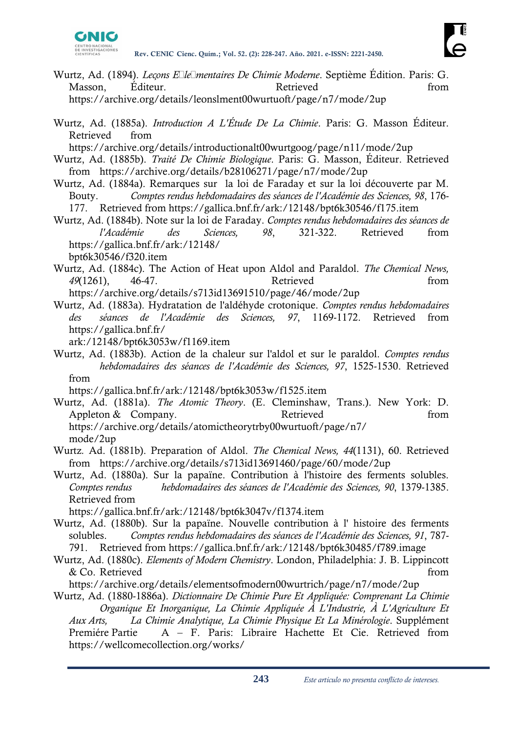

- Wurtz, Ad. (1894). *Leçons Élémentaires De Chimie Moderne*. Septième Édition. Paris: G. Masson, Éditeur. Retrieved Retrieved from https://archive.org/details/leonslment00wurtuoft/page/n7/mode/2up
- Wurtz, Ad. (1885a). *Introduction A L'Étude De La Chimie*. Paris: G. Masson Éditeur. Retrieved from

https://archive.org/details/introductionalt00wurtgoog/page/n11/mode/2up

- Wurtz, Ad. (1885b). *Traité De Chimie Biologique*. Paris: G. Masson, Éditeur. Retrieved from https://archive.org/details/b28106271/page/n7/mode/2up
- Wurtz, Ad. (1884a). Remarques sur la loi de Faraday et sur la loi découverte par M. Bouty. *Comptes rendus hebdomadaires des séances de l'Académie des Sciences, 98*, 176- 177. Retrieved from https://gallica.bnf.fr/ark:/12148/bpt6k30546/f175.item
- Wurtz, Ad. (1884b). Note sur la loi de Faraday. *Comptes rendus hebdomadaires des séances de l'Académie des Sciences, 98*, 321-322. Retrieved from https://gallica.bnf.fr/ark:/12148/ bpt6k30546/f320.item
- Wurtz, Ad. (1884c). The Action of Heat upon Aldol and Paraldol. *The Chemical News, 49*(1261), 46-47. Retrieved from https://archive.org/details/s713id13691510/page/46/mode/2up
- Wurtz, Ad. (1883a). Hydratation de l'aldéhyde crotonique. *Comptes rendus hebdomadaires des séances de l'Académie des Sciences, 97*, 1169-1172. Retrieved from https://gallica.bnf.fr/
	- ark:/12148/bpt6k3053w/f1169.item
- Wurtz, Ad. (1883b). Action de la chaleur sur l'aldol et sur le paraldol. *Comptes rendus hebdomadaires des séances de l'Académie des Sciences, 97*, 1525-1530. Retrieved from

https://gallica.bnf.fr/ark:/12148/bpt6k3053w/f1525.item

Wurtz, Ad. (1881a). *The Atomic Theory*. (E. Cleminshaw, Trans.). New York: D. Appleton & Company. Retrieved From https://archive.org/details/atomictheorytrby00wurtuoft/page/n7/ mode/2up

- Wurtz*.* Ad. (1881b). Preparation of Aldol. *The Chemical News, 44*(1131), 60. Retrieved from https://archive.org/details/s713id13691460/page/60/mode/2up
- Wurtz, Ad. (1880a). Sur la papaïne. Contribution à l'histoire des ferments solubles. *Comptes rendus hebdomadaires des séances de l'Académie des Sciences, 90*, 1379-1385. Retrieved from

https://gallica.bnf.fr/ark:/12148/bpt6k3047v/f1374.item

- Wurtz, Ad. (1880b). Sur la papaïne. Nouvelle contribution à l' histoire des ferments solubles. *Comptes rendus hebdomadaires des séances de l'Académie des Sciences, 91*, 787- 791. Retrieved from https://gallica.bnf.fr/ark:/12148/bpt6k30485/f789.image
- Wurtz, Ad. (1880c). *Elements of Modern Chemistry*. London, Philadelphia: J. B. Lippincott & Co. Retrieved from the set of  $\mathcal{L}$  and  $\mathcal{L}$  from the set of  $\mathcal{L}$  and  $\mathcal{L}$  from the set of  $\mathcal{L}$  and  $\mathcal{L}$  from the set of  $\mathcal{L}$  and  $\mathcal{L}$  and  $\mathcal{L}$  and  $\mathcal{L}$  and  $\mathcal{L}$  and  $\mathcal{L}$  an

https://archive.org/details/elementsofmodern00wurtrich/page/n7/mode/2up

Wurtz, Ad. (1880-1886a). *Dictionnaire De Chimie Pure Et Appliquée: Comprenant La Chimie Organique Et Inorganique, La Chimie Appliquée À L'Industrie, À L'Agriculture Et Aux Arts, La Chimie Analytique, La Chimie Physique Et La Minérologie*. Supplément Premiére Partie A – F. Paris: Libraire Hachette Et Cie. Retrieved from https://wellcomecollection.org/works/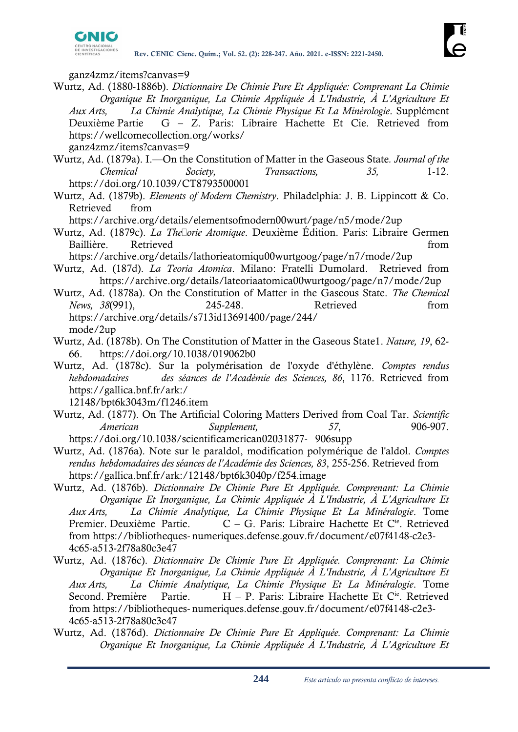

ganz4zmz/items?canvas=9

Wurtz, Ad. (1880-1886b). *Dictionnaire De Chimie Pure Et Appliquée: Comprenant La Chimie Organique Et Inorganique, La Chimie Appliquée À L'Industrie, À L'Agriculture Et Aux Arts, La Chimie Analytique, La Chimie Physique Et La Minérologie*. Supplément Deuxième Partie G – Z. Paris: Libraire Hachette Et Cie. Retrieved from https://wellcomecollection.org/works/ ganz4zmz/items?canvas=9

- Wurtz, Ad. (1879a). I.—On the Constitution of Matter in the Gaseous State*. Journal of the Chemical Society, Transactions, 35,* 1-12. https://doi.org/10.1039/CT8793500001
- Wurtz, Ad. (1879b). *Elements of Modern Chemistry*. Philadelphia: J. B. Lippincott & Co. Retrieved from

https://archive.org/details/elementsofmodern00wurt/page/n5/mode/2up

Wurtz, Ad. (1879c). *La Théorie Atomique*. Deuxième Édition. Paris: Libraire Germen Baillière. Retrieved from

https://archive.org/details/lathorieatomiqu00wurtgoog/page/n7/mode/2up

Wurtz, Ad. (187d). *La Teoria Atomica*. Milano: Fratelli Dumolard. Retrieved from https://archive.org/details/lateoriaatomica00wurtgoog/page/n7/mode/2up

Wurtz, Ad. (1878a). On the Constitution of Matter in the Gaseous State. *The Chemical News, 38*(991), 245-248. Retrieved from https://archive.org/details/s713id13691400/page/244/ mode/2up

- Wurtz, Ad. (1878b). On The Constitution of Matter in the Gaseous State1. *Nature, 19*, 62- 66. https://doi.org/10.1038/019062b0
- Wurtz, Ad. (1878c). Sur la polymérisation de l'oxyde d'éthylène. *Comptes rendus hebdomadaires des séances de l'Académie des Sciences, 86*, 1176. Retrieved from https://gallica.bnf.fr/ark:/

12148/bpt6k3043m/f1246.item

- Wurtz, Ad. (1877). On The Artificial Coloring Matters Derived from Coal Tar. *Scientific American Supplement, 57*, 906-907. https://doi.org/10.1038/scientificamerican02031877- 906supp
- Wurtz, Ad. (1876a). Note sur le paraldol, modification polymérique de l'aldol. *Comptes rendus hebdomadaires des séances de l'Académie des Sciences, 83*, 255-256. Retrieved from https://gallica.bnf.fr/ark:/12148/bpt6k3040p/f254.image
- Wurtz, Ad. (1876b). *Dictionnaire De Chimie Pure Et Appliquée. Comprenant: La Chimie Organique Et Inorganique, La Chimie Appliquée À L'Industrie, À L'Agriculture Et Aux Arts, La Chimie Analytique, La Chimie Physique Et La Minéralogie*. Tome Premier. Deuxième Partie. C - G. Paris: Libraire Hachette Et C<sup>ie</sup>. Retrieved from https://bibliotheques- numeriques.defense.gouv.fr/document/e07f4148-c2e3- 4c65-a513-2f78a80c3e47
- Wurtz, Ad. (1876c). *Dictionnaire De Chimie Pure Et Appliquée. Comprenant: La Chimie Organique Et Inorganique, La Chimie Appliquée À L'Industrie, À L'Agriculture Et Aux Arts, La Chimie Analytique, La Chimie Physique Et La Minéralogie*. Tome Second. Première Partie.  $H - P$ . Paris: Libraire Hachette Et C<sup>ie</sup>. Retrieved from https://bibliotheques- numeriques.defense.gouv.fr/document/e07f4148-c2e3- 4c65-a513-2f78a80c3e47
- Wurtz, Ad. (1876d). *Dictionnaire De Chimie Pure Et Appliquée. Comprenant: La Chimie Organique Et Inorganique, La Chimie Appliquée À L'Industrie, À L'Agriculture Et*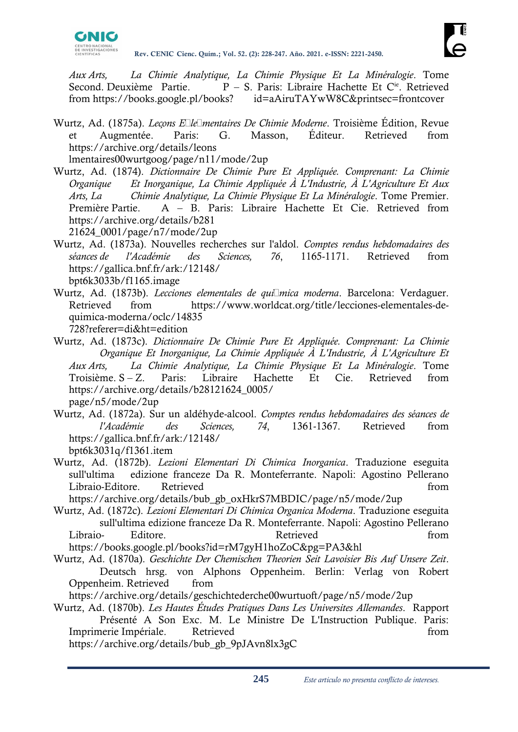

*Aux Arts, La Chimie Analytique, La Chimie Physique Et La Minéralogie*. Tome Second. Deuxième Partie.  $P - S$ . Paris: Libraire Hachette Et C<sup>ie</sup>. Retrieved from https://books.google.pl/books? id=aAiruTAYwW8C&printsec=frontcover

- Wurtz, Ad. (1875a). *Leçons Élémentaires De Chimie Moderne*. Troisième Édition, Revue et Augmentée. Paris: G. Masson, Éditeur. Retrieved from https://archive.org/details/leons lmentaires00wurtgoog/page/n11/mode/2up
- Wurtz, Ad. (1874). *Dictionnaire De Chimie Pure Et Appliquée. Comprenant: La Chimie Organique Et Inorganique, La Chimie Appliquée À L'Industrie, À L'Agriculture Et Aux Arts, La Chimie Analytique, La Chimie Physique Et La Minéralogie*. Tome Premier. Première Partie. A – B. Paris: Libraire Hachette Et Cie. Retrieved from https://archive.org/details/b281 21624\_0001/page/n7/mode/2up
- Wurtz, Ad. (1873a). Nouvelles recherches sur l'aldol. *Comptes rendus hebdomadaires des séances de l'Académie des Sciences, 76*, 1165-1171. Retrieved from https://gallica.bnf.fr/ark:/12148/ bpt6k3033b/f1165.image
- Wurtz, Ad. (1873b). *Lecciones elementales de química moderna*. Barcelona: Verdaguer. Retrieved from https://www.worldcat.org/title/lecciones-elementales-dequimica-moderna/oclc/14835 728?referer=di&ht=edition
- Wurtz, Ad. (1873c). *Dictionnaire De Chimie Pure Et Appliquée. Comprenant: La Chimie Organique Et Inorganique, La Chimie Appliquée À L'Industrie, À L'Agriculture Et Aux Arts, La Chimie Analytique, La Chimie Physique Et La Minéralogie*. Tome Troisième. S – Z. Paris: Libraire Hachette Et Cie. Retrieved from https://archive.org/details/b28121624\_0005/ page/n5/mode/2up
- Wurtz, Ad. (1872a). Sur un aldéhyde-alcool. *Comptes rendus hebdomadaires des séances de l'Académie des Sciences, 74*, 1361-1367. Retrieved from https://gallica.bnf.fr/ark:/12148/ bpt6k3031q/f1361.item
- Wurtz, Ad. (1872b). *Lezioni Elementari Di Chimica Inorganica*. Traduzione eseguita sull'ultima edizione franceze Da R. Monteferrante. Napoli: Agostino Pellerano Libraio-Editore. Retrieved from the state of the state of the state of the state of the state of the state of the state of the state of the state of the state of the state of the state of the state of the state of the stat

https://archive.org/details/bub\_gb\_oxHkrS7MBDIC/page/n5/mode/2up

- Wurtz, Ad. (1872c). *Lezioni Elementari Di Chimica Organica Moderna*. Traduzione eseguita sull'ultima edizione franceze Da R. Monteferrante. Napoli: Agostino Pellerano Libraio- Editore. Retrieved from https://books.google.pl/books?id=rM7gyH1hoZoC&pg=PA3&hl
- Wurtz, Ad. (1870a). *Geschichte Der Chemischen Theorien Seit Lavoisier Bis Auf Unsere Zeit*. Deutsch hrsg. von Alphons Oppenheim. Berlin: Verlag von Robert Oppenheim. Retrieved from
- https://archive.org/details/geschichtederche00wurtuoft/page/n5/mode/2up
- Wurtz, Ad. (1870b). *Les Hautes Études Pratiques Dans Les Universites Allemandes*. Rapport Présenté A Son Exc. M. Le Ministre De L'Instruction Publique. Paris: Imprimerie Impériale. Retrieved from the settlement of the settlement of the settlement of the settlement of the settlement of the settlement of the settlement of the settlement of the settlement of the settlement of the s

https://archive.org/details/bub\_gb\_9pJAvn8lx3gC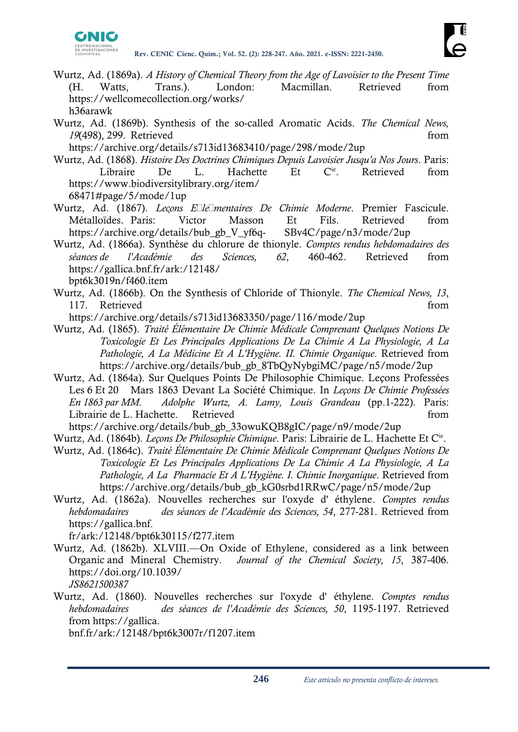

- Wurtz, Ad. (1869a). *A History of Chemical Theory from the Age of Lavoisier to the Present Time*  (H. Watts, Trans.). London: Macmillan. Retrieved from https://wellcomecollection.org/works/ h36arawk
- Wurtz, Ad. (1869b). Synthesis of the so-called Aromatic Acids. *The Chemical News,*  19(498), 299. Retrieved from **from** from **from**

https://archive.org/details/s713id13683410/page/298/mode/2up

- Wurtz, Ad. (1868). *Histoire Des Doctrines Chimiques Depuis Lavoisier Jusqu'a Nos Jours*. Paris: Libraire De L. Hachette Et C<sup>ie</sup>. Retrieved from https://www.biodiversitylibrary.org/item/ 68471#page/5/mode/1up
- Wurtz, Ad. (1867). *Leçons Élémentaires De Chimie Moderne*. Premier Fascicule. Métalloïdes. Paris: Victor Masson Et Fils. Retrieved from https://archive.org/details/bub\_gb\_V\_yf6q- SBv4C/page/n3/mode/2up
- Wurtz, Ad. (1866a). Synthèse du chlorure de thionyle. *Comptes rendus hebdomadaires des séances de l'Académie des Sciences, 62*, 460-462. Retrieved from https://gallica.bnf.fr/ark:/12148/ bpt6k3019n/f460.item
- Wurtz, Ad. (1866b). On the Synthesis of Chloride of Thionyle. *The Chemical News, 13*, 117. Retrieved from the set of the set of the set of the set of the set of the set of the set of the set of the set of the set of the set of the set of the set of the set of the set of the set of the set of the set of the

https://archive.org/details/s713id13683350/page/116/mode/2up

- Wurtz, Ad. (1865). *Traité Élémentaire De Chimie Médicale Comprenant Quelques Notions De Toxicologie Et Les Principales Applications De La Chimie A La Physiologie, A La Pathologie, A La Médicine Et A L'Hygiène. II. Chimie Organique*. Retrieved from https://archive.org/details/bub\_gb\_8TbQyNybgiMC/page/n5/mode/2up
- Wurtz, Ad. (1864a). Sur Quelques Points De Philosophie Chimique. Leçons Professées Les 6 Et 20 Mars 1863 Devant La Société Chimique. In *Leçons De Chimie Professées En 1863 par MM. Adolphe Wurtz, A. Lamy, Louis Grandeau* (pp.1-222). Paris: Librairie de L. Hachette. Retrieved from the state of the from the state of the state of the state of the state of the state of the state of the state of the state of the state of the state of the state of the state of the

https://archive.org/details/bub\_gb\_33owuKQB8gIC/page/n9/mode/2up

- Wurtz, Ad. (1864b). *Leçons De Philosophie Chimique*. Paris: Librairie de L. Hachette Et Cie .
- Wurtz, Ad. (1864c). *Traité Élémentaire De Chimie Médicale Comprenant Quelques Notions De Toxicologie Et Les Principales Applications De La Chimie A La Physiologie, A La Pathologie, A La Pharmacie Et A L'Hygiène. I. Chimie Inorganique*. Retrieved from https://archive.org/details/bub\_gb\_kG0srbd1RRwC/page/n5/mode/2up
- Wurtz, Ad. (1862a). Nouvelles recherches sur l'oxyde d' éthylene. *Comptes rendus hebdomadaires des séances de l'Académie des Sciences, 54*, 277-281. Retrieved from https://gallica.bnf.

fr/ark:/12148/bpt6k30115/f277.item

- Wurtz, Ad. (1862b). XLVIII.—On Oxide of Ethylene, considered as a link between Organic and Mineral Chemistry. *Journal of the Chemical Society, 15*, 387-406. https://doi.org/10.1039/ *JS8621500387*
- Wurtz, Ad. (1860). Nouvelles recherches sur l'oxyde d' éthylene. *Comptes rendus hebdomadaires des séances de l'Académie des Sciences, 50*, 1195-1197. Retrieved from https://gallica.

bnf.fr/ark:/12148/bpt6k3007r/f1207.item